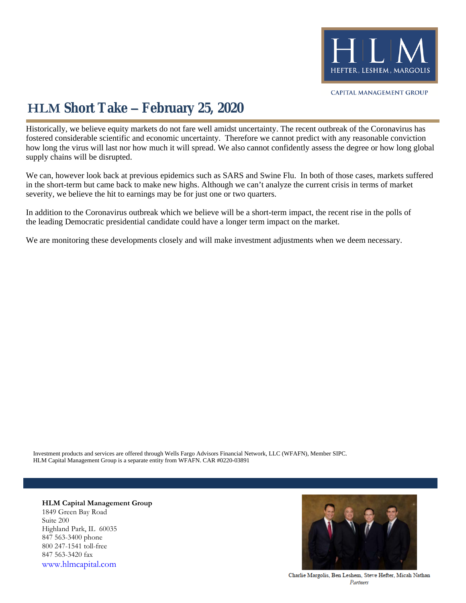

## **HLM Short Take – February 25, 2020**

Historically, we believe equity markets do not fare well amidst uncertainty. The recent outbreak of the Coronavirus has fostered considerable scientific and economic uncertainty. Therefore we cannot predict with any reasonable conviction how long the virus will last nor how much it will spread. We also cannot confidently assess the degree or how long global supply chains will be disrupted.

We can, however look back at previous epidemics such as SARS and Swine Flu. In both of those cases, markets suffered in the short-term but came back to make new highs. Although we can't analyze the current crisis in terms of market severity, we believe the hit to earnings may be for just one or two quarters.

In addition to the Coronavirus outbreak which we believe will be a short-term impact, the recent rise in the polls of the leading Democratic presidential candidate could have a longer term impact on the market.

We are monitoring these developments closely and will make investment adjustments when we deem necessary.

HLM Capital Management Group is a separate entity from WFAFN. CAR #0220-03891 Investment products and services are offered through Wells Fargo Advisors Financial Network, LLC (WFAFN), Member SIPC.

**HLM Capital Management Group** 1849 Green Bay Road Suite 200 Highland Park, IL 60035 847 563-3400 phone 800 247-1541 toll-free 847 563-3420 fax [www.hlmcapital.com](http://www.hlmcapital.com/)



Charlie Margolis, Ben Leshem, Steve Hefter, Micah Nathan Partners